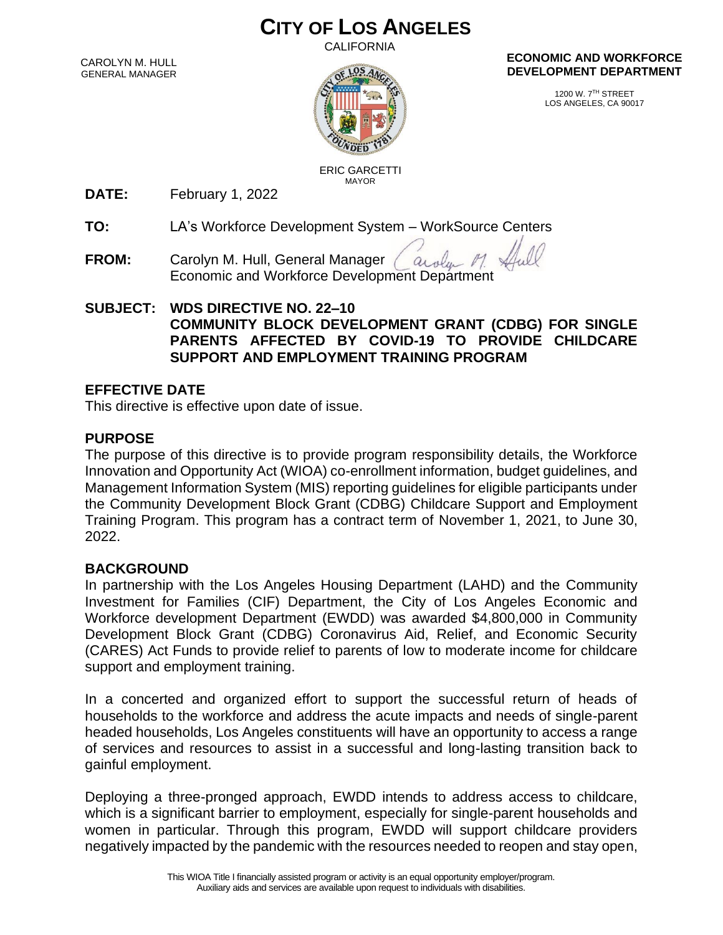# **CITY OF LOS ANGELES**

CALIFORNIA

CAROLYN M. HULL GENERAL MANAGER



**ECONOMIC AND WORKFORCE DEVELOPMENT DEPARTMENT**

> 1200 W. 7TH STREET LOS ANGELES, CA 90017

 ERIC GARCETTI MAYOR

**DATE:** February 1, 2022

**TO:** LA's Workforce Development System – WorkSource Centers

**FROM:** Carolyn M. Hull, General Manager aroly Economic and Workforce Development Department

## **SUBJECT: WDS DIRECTIVE NO. 22–10 COMMUNITY BLOCK DEVELOPMENT GRANT (CDBG) FOR SINGLE PARENTS AFFECTED BY COVID-19 TO PROVIDE CHILDCARE SUPPORT AND EMPLOYMENT TRAINING PROGRAM**

# **EFFECTIVE DATE**

This directive is effective upon date of issue.

# **PURPOSE**

The purpose of this directive is to provide program responsibility details, the Workforce Innovation and Opportunity Act (WIOA) co-enrollment information, budget guidelines, and Management Information System (MIS) reporting guidelines for eligible participants under the Community Development Block Grant (CDBG) Childcare Support and Employment Training Program. This program has a contract term of November 1, 2021, to June 30, 2022.

# **BACKGROUND**

In partnership with the Los Angeles Housing Department (LAHD) and the Community Investment for Families (CIF) Department, the City of Los Angeles Economic and Workforce development Department (EWDD) was awarded \$4,800,000 in Community Development Block Grant (CDBG) Coronavirus Aid, Relief, and Economic Security (CARES) Act Funds to provide relief to parents of low to moderate income for childcare support and employment training.

In a concerted and organized effort to support the successful return of heads of households to the workforce and address the acute impacts and needs of single-parent headed households, Los Angeles constituents will have an opportunity to access a range of services and resources to assist in a successful and long-lasting transition back to gainful employment.

Deploying a three-pronged approach, EWDD intends to address access to childcare, which is a significant barrier to employment, especially for single-parent households and women in particular. Through this program, EWDD will support childcare providers negatively impacted by the pandemic with the resources needed to reopen and stay open,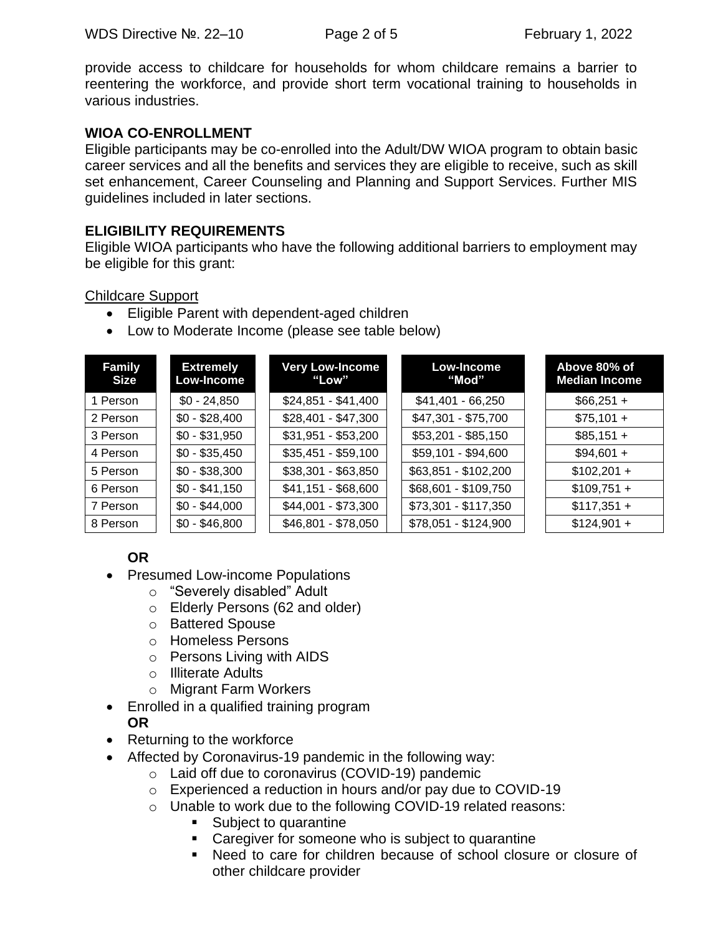WDS Directive №. 22–10 Page 2 of 5 February 1, 2022

provide access to childcare for households for whom childcare remains a barrier to reentering the workforce, and provide short term vocational training to households in various industries.

### **WIOA CO-ENROLLMENT**

Eligible participants may be co-enrolled into the Adult/DW WIOA program to obtain basic career services and all the benefits and services they are eligible to receive, such as skill set enhancement, Career Counseling and Planning and Support Services. Further MIS guidelines included in later sections.

### **ELIGIBILITY REQUIREMENTS**

Eligible WIOA participants who have the following additional barriers to employment may be eligible for this grant:

#### Childcare Support

- Eligible Parent with dependent-aged children
- Low to Moderate Income (please see table below)

| <b>Family</b><br>Size | <b>Extremely</b><br>Low-Income | <b>Very Low-Income</b><br>"Low" | Low-Income<br>"Mod"  | Above 80% of<br><b>Median Income</b> |
|-----------------------|--------------------------------|---------------------------------|----------------------|--------------------------------------|
| 1 Person              | $$0 - 24,850$                  | $$24,851 - $41,400$             | $$41,401 - 66,250$   | $$66,251 +$                          |
| 2 Person              | $$0 - $28,400$                 | $$28,401 - $47,300$             | \$47,301 - \$75,700  | $$75,101 +$                          |
| 3 Person              | $$0 - $31,950$                 | $$31,951 - $53,200$             | $$53,201 - $85,150$  | $$85,151 +$                          |
| 4 Person              | $$0 - $35,450$                 | $$35,451 - $59,100$             | \$59,101 - \$94,600  | $$94,601 +$                          |
| 5 Person              | $$0 - $38,300$                 | \$38,301 - \$63,850             | \$63,851 - \$102,200 | $$102,201 +$                         |
| 6 Person              | $$0 - $41,150$                 | $$41,151 - $68,600$             | \$68,601 - \$109,750 | $$109,751 +$                         |
| 7 Person              | $$0 - $44,000$                 | \$44,001 - \$73,300             | \$73,301 - \$117,350 | $$117,351 +$                         |
| 8 Person              | $$0 - $46,800$                 | \$46,801 - \$78,050             | $$78,051 - $124,900$ | $$124,901 +$                         |

# **OR**

- Presumed Low-income Populations
	- o "Severely disabled" Adult
	- o Elderly Persons (62 and older)
	- o Battered Spouse
	- o Homeless Persons
	- o Persons Living with AIDS
	- o Illiterate Adults
	- o Migrant Farm Workers
- Enrolled in a qualified training program

### **OR**

- Returning to the workforce
- Affected by Coronavirus-19 pandemic in the following way:
	- o Laid off due to coronavirus (COVID-19) pandemic
	- o Experienced a reduction in hours and/or pay due to COVID-19
	- o Unable to work due to the following COVID-19 related reasons:
		- Subject to quarantine
		- Caregiver for someone who is subject to quarantine
		- Need to care for children because of school closure or closure of other childcare provider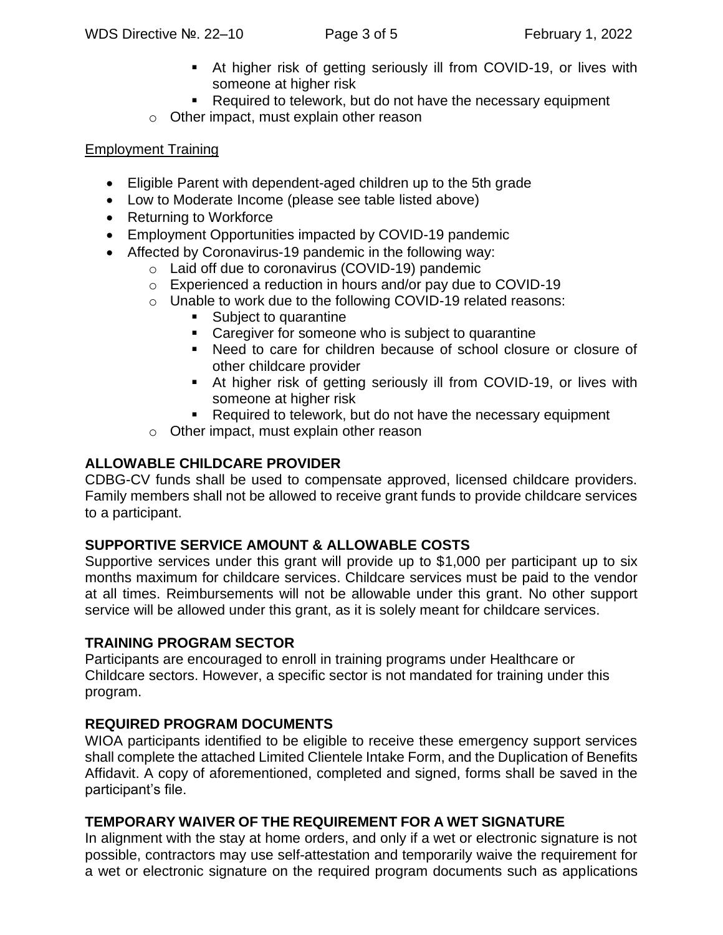- At higher risk of getting seriously ill from COVID-19, or lives with someone at higher risk
- Required to telework, but do not have the necessary equipment
- o Other impact, must explain other reason

# Employment Training

- Eligible Parent with dependent-aged children up to the 5th grade
- Low to Moderate Income (please see table listed above)
- Returning to Workforce
- Employment Opportunities impacted by COVID-19 pandemic
- Affected by Coronavirus-19 pandemic in the following way:
	- o Laid off due to coronavirus (COVID-19) pandemic
	- o Experienced a reduction in hours and/or pay due to COVID-19
	- o Unable to work due to the following COVID-19 related reasons:
		- Subject to quarantine
		- Caregiver for someone who is subject to quarantine
		- Need to care for children because of school closure or closure of other childcare provider
		- At higher risk of getting seriously ill from COVID-19, or lives with someone at higher risk
		- Required to telework, but do not have the necessary equipment
	- o Other impact, must explain other reason

# **ALLOWABLE CHILDCARE PROVIDER**

CDBG-CV funds shall be used to compensate approved, licensed childcare providers. Family members shall not be allowed to receive grant funds to provide childcare services to a participant.

# **SUPPORTIVE SERVICE AMOUNT & ALLOWABLE COSTS**

Supportive services under this grant will provide up to \$1,000 per participant up to six months maximum for childcare services. Childcare services must be paid to the vendor at all times. Reimbursements will not be allowable under this grant. No other support service will be allowed under this grant, as it is solely meant for childcare services.

# **TRAINING PROGRAM SECTOR**

Participants are encouraged to enroll in training programs under Healthcare or Childcare sectors. However, a specific sector is not mandated for training under this program.

# **REQUIRED PROGRAM DOCUMENTS**

WIOA participants identified to be eligible to receive these emergency support services shall complete the attached Limited Clientele Intake Form, and the Duplication of Benefits Affidavit. A copy of aforementioned, completed and signed, forms shall be saved in the participant's file.

# **TEMPORARY WAIVER OF THE REQUIREMENT FOR A WET SIGNATURE**

In alignment with the stay at home orders, and only if a wet or electronic signature is not possible, contractors may use self-attestation and temporarily waive the requirement for a wet or electronic signature on the required program documents such as applications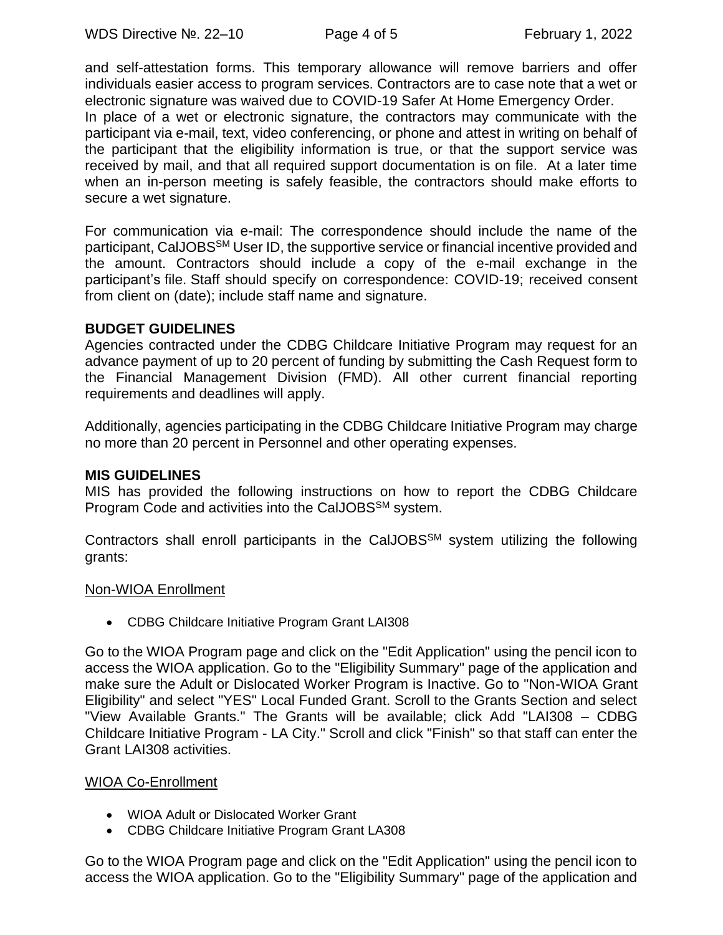and self-attestation forms. This temporary allowance will remove barriers and offer individuals easier access to program services. Contractors are to case note that a wet or electronic signature was waived due to COVID-19 Safer At Home Emergency Order.

In place of a wet or electronic signature, the contractors may communicate with the participant via e-mail, text, video conferencing, or phone and attest in writing on behalf of the participant that the eligibility information is true, or that the support service was received by mail, and that all required support documentation is on file. At a later time when an in-person meeting is safely feasible, the contractors should make efforts to secure a wet signature.

For communication via e-mail: The correspondence should include the name of the participant, CalJOBSSM User ID, the supportive service or financial incentive provided and the amount. Contractors should include a copy of the e-mail exchange in the participant's file. Staff should specify on correspondence: COVID-19; received consent from client on (date); include staff name and signature.

#### **BUDGET GUIDELINES**

Agencies contracted under the CDBG Childcare Initiative Program may request for an advance payment of up to 20 percent of funding by submitting the Cash Request form to the Financial Management Division (FMD). All other current financial reporting requirements and deadlines will apply.

Additionally, agencies participating in the CDBG Childcare Initiative Program may charge no more than 20 percent in Personnel and other operating expenses.

#### **MIS GUIDELINES**

MIS has provided the following instructions on how to report the CDBG Childcare Program Code and activities into the CalJOBS<sup>SM</sup> system.

Contractors shall enroll participants in the CalJOBS $\text{SM}$  system utilizing the following grants:

#### Non-WIOA Enrollment

• CDBG Childcare Initiative Program Grant LAI308

Go to the WIOA Program page and click on the "Edit Application" using the pencil icon to access the WIOA application. Go to the "Eligibility Summary" page of the application and make sure the Adult or Dislocated Worker Program is Inactive. Go to "Non-WIOA Grant Eligibility" and select "YES" Local Funded Grant. Scroll to the Grants Section and select "View Available Grants." The Grants will be available; click Add "LAI308 – CDBG Childcare Initiative Program - LA City." Scroll and click "Finish" so that staff can enter the Grant LAI308 activities.

#### WIOA Co-Enrollment

- WIOA Adult or Dislocated Worker Grant
- CDBG Childcare Initiative Program Grant LA308

Go to the WIOA Program page and click on the "Edit Application" using the pencil icon to access the WIOA application. Go to the "Eligibility Summary" page of the application and